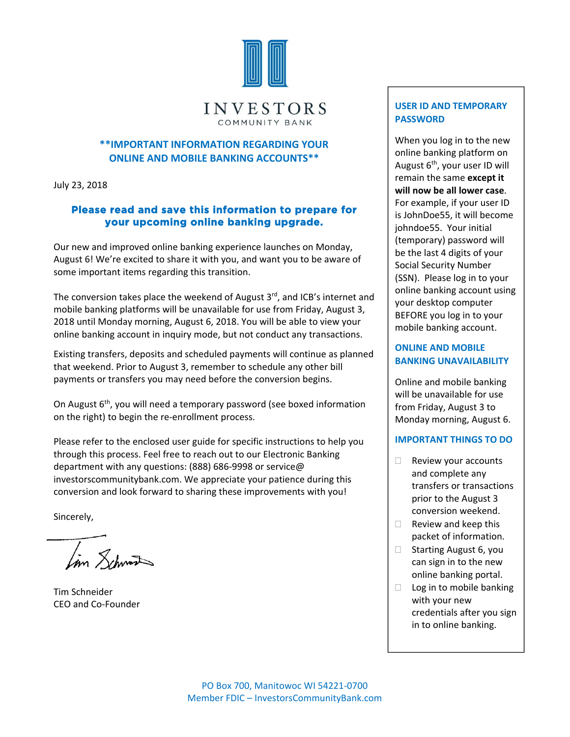

#### **\*\*IMPORTANT INFORMATION REGARDING YOUR ONLINE AND MOBILE BANKING ACCOUNTS\*\***

July 23, 2018

#### **Please read and save this information to prepare for your upcoming online banking upgrade.**

Our new and improved online banking experience launches on Monday, August 6! We're excited to share it with you, and want you to be aware of some important items regarding this transition.

The conversion takes place the weekend of August  $3<sup>rd</sup>$ , and ICB's internet and mobile banking platforms will be unavailable for use from Friday, August 3, 2018 until Monday morning, August 6, 2018. You will be able to view your online banking account in inquiry mode, but not conduct any transactions.

Existing transfers, deposits and scheduled payments will continue as planned that weekend. Prior to August 3, remember to schedule any other bill payments or transfers you may need before the conversion begins.

On August 6<sup>th</sup>, you will need a temporary password (see boxed information on the right) to begin the re‐enrollment process.

Please refer to the enclosed user guide for specific instructions to help you through this process. Feel free to reach out to our Electronic Banking department with any questions: (888) 686‐9998 or service@ investorscommunitybank.com. We appreciate your patience during this conversion and look forward to sharing these improvements with you!

Sincerely,

Lin Lehmen

Tim Schneider CEO and Co‐Founder

### **USER ID AND TEMPORARY PASSWORD**

When you log in to the new online banking platform on August  $6<sup>th</sup>$ , your user ID will remain the same **except it will now be all lower case**. For example, if your user ID is JohnDoe55, it will become johndoe55. Your initial (temporary) password will be the last 4 digits of your Social Security Number (SSN). Please log in to your online banking account using your desktop computer BEFORE you log in to your mobile banking account.

#### **ONLINE AND MOBILE BANKING UNAVAILABILITY**

Online and mobile banking will be unavailable for use from Friday, August 3 to Monday morning, August 6.

#### **IMPORTANT THINGS TO DO**

- $\Box$  Review your accounts and complete any transfers or transactions prior to the August 3 conversion weekend.
- $\Box$  Review and keep this packet of information.
- $\Box$  Starting August 6, you can sign in to the new online banking portal.
- $\Box$  Log in to mobile banking with your new credentials after you sign in to online banking.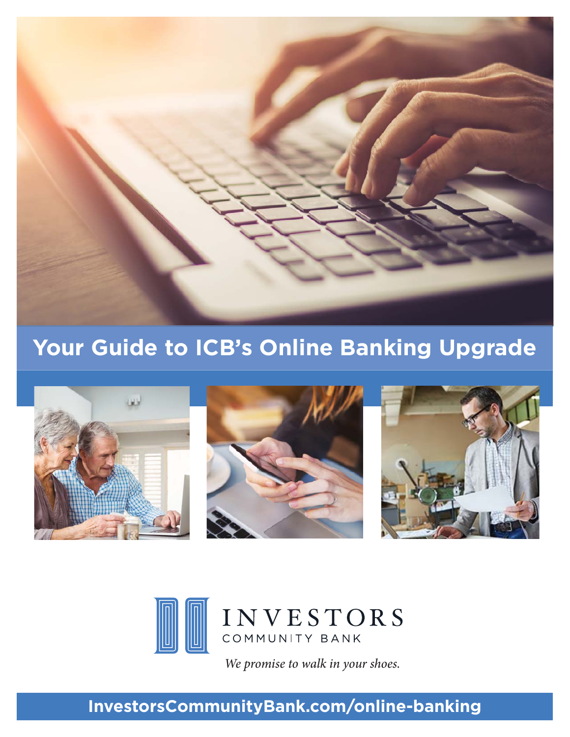

# **Your Guide to ICB's Online Banking Upgrade**





*We promise to walk in your shoes.* 

## **InvestorsCommunityBank.com/online-banking**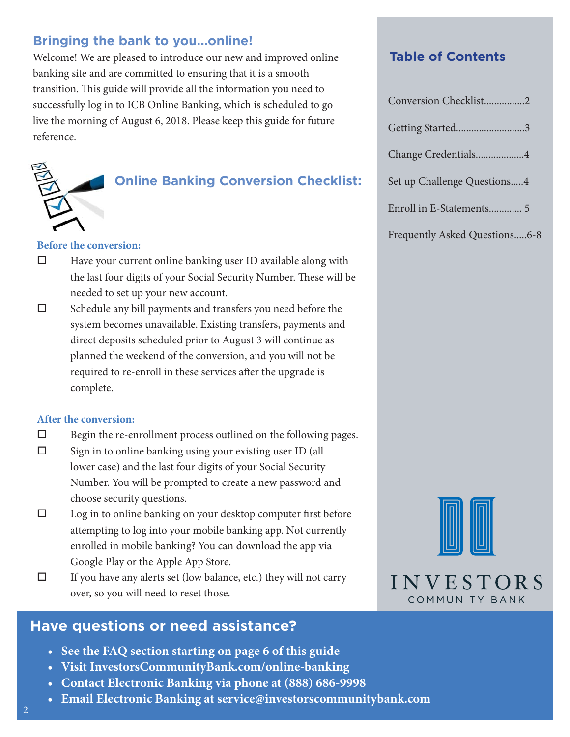## **Bringing the bank to you...online!**

Welcome! We are pleased to introduce our new and improved online banking site and are committed to ensuring that it is a smooth transition. This guide will provide all the information you need to successfully log in to ICB Online Banking, which is scheduled to go live the morning of August 6, 2018. Please keep this guide for future reference.



### **Online Banking Conversion Checklist:**

#### **Before the conversion:**

- $\Box$  Have your current online banking user ID available along with the last four digits of your Social Security Number. These will be needed to set up your new account.
- $\square$  Schedule any bill payments and transfers you need before the system becomes unavailable. Existing transfers, payments and direct deposits scheduled prior to August 3 will continue as planned the weekend of the conversion, and you will not be required to re-enroll in these services after the upgrade is complete.

#### **After the conversion:**

- $\square$  Begin the re-enrollment process outlined on the following pages.
- $\square$  Sign in to online banking using your existing user ID (all lower case) and the last four digits of your Social Security Number. You will be prompted to create a new password and choose security questions.
- $\square$  Log in to online banking on your desktop computer first before attempting to log into your mobile banking app. Not currently enrolled in mobile banking? You can download the app via Google Play or the Apple App Store.
- $\Box$  If you have any alerts set (low balance, etc.) they will not carry over, so you will need to reset those.

## **Have questions or need assistance?**

- **See the FAQ section starting on page 6 of this guide**
- **Visit InvestorsCommunityBank.com/online-banking**
- **Contact Electronic Banking via phone at (888) 686-9998**
- **Email Electronic Banking at service@investorscommunitybank.com**

### **Table of Contents**

| Conversion Checklist2       |
|-----------------------------|
| Getting Started3            |
| Change Credentials4         |
| Set up Challenge Questions4 |
|                             |
|                             |

Frequently Asked Questions.....6-8



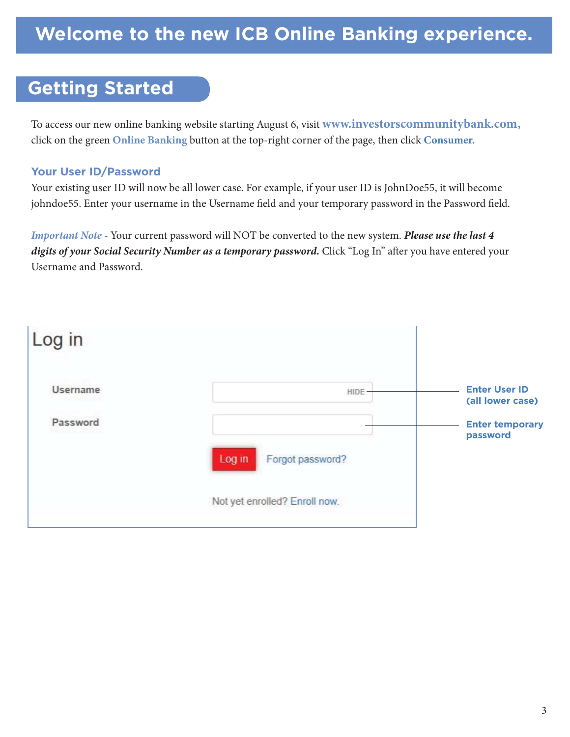## **Getting Started**

To access our new online banking website starting August 6, visit **www.investorscommunitybank.com,** click on the green **Online Banking** button at the top-right corner of the page, then click **Consumer.** 

### **Your User ID/Password**

Your existing user ID will now be all lower case. For example, if your user ID is JohnDoe55, it will become johndoe55. Enter your username in the Username field and your temporary password in the Password field.

*Important Note -* Your current password will NOT be converted to the new system. *Please use the last 4 digits of your Social Security Number as a temporary password.* Click "Log In" after you have entered your Username and Password.

| Log in                      |                                                 |                                                                                |
|-----------------------------|-------------------------------------------------|--------------------------------------------------------------------------------|
| <b>Username</b><br>Password | HIDE <sup>-</sup><br>Log in<br>Forgot password? | <b>Enter User ID</b><br>(all lower case)<br><b>Enter temporary</b><br>password |
|                             | Not yet enrolled? Enroll now.                   |                                                                                |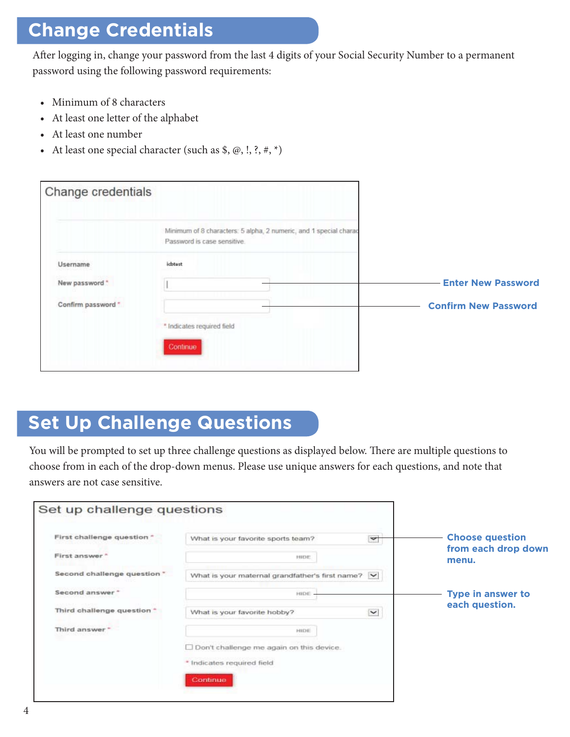## **Change Credentials**

After logging in, change your password from the last 4 digits of your Social Security Number to a permanent password using the following password requirements:

- Minimum of 8 characters
- At least one letter of the alphabet
- At least one number
- At least one special character (such as  $\$, \emptyset, !, ?, *, *$ )

| Change credentials |                                                                                                  |                             |
|--------------------|--------------------------------------------------------------------------------------------------|-----------------------------|
|                    | Minimum of 8 characters: 5 alpha, 2 numeric, and 1 special charac<br>Password is case sensitive. |                             |
| Username           | ichtest                                                                                          |                             |
| New password "     |                                                                                                  | <b>Enter New Password</b>   |
| Confirm password * |                                                                                                  | <b>Confirm New Password</b> |
|                    | * Indicates required field                                                                       |                             |
|                    | Continue                                                                                         |                             |
|                    |                                                                                                  |                             |

## **Set Up Challenge Questions**

You will be prompted to set up three challenge questions as displayed below. There are multiple questions to choose from in each of the drop-down menus. Please use unique answers for each questions, and note that answers are not case sensitive.

| First challenge question "             | What is your favorite sports team?                | $\blacktriangledown$ | <b>Choose question</b>       |
|----------------------------------------|---------------------------------------------------|----------------------|------------------------------|
| First answer*                          | NIDE                                              |                      | from each drop down<br>menu. |
| Second challenge question *            | What is your maternal grandfather's first name? V |                      |                              |
| Second answer "                        | HIDE                                              |                      | <b>Type in answer to</b>     |
| Third challenge question. <sup>+</sup> | What is your favorite hobby?                      | $\check{~}$          | each question.               |
| Third answer *                         | HIDE                                              |                      |                              |
|                                        | Don't challenge me again on this device.          |                      |                              |
|                                        | * Indicates required field                        |                      |                              |
|                                        | Continue                                          |                      |                              |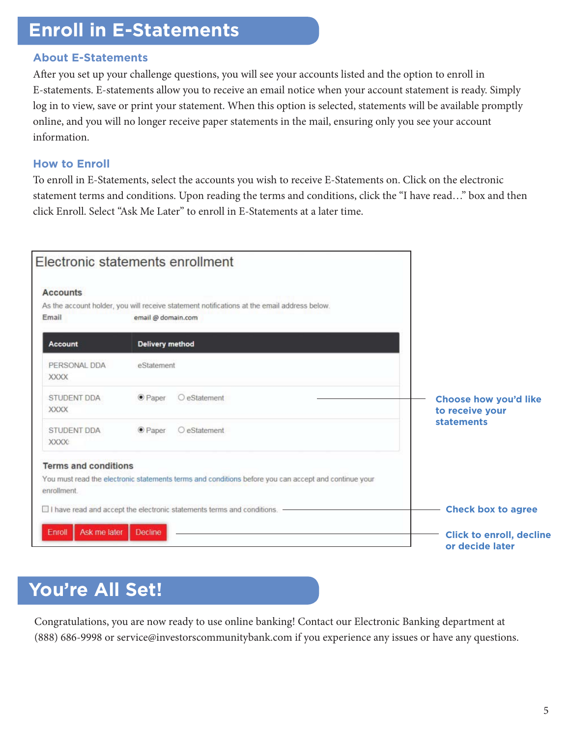## **Enroll in E-Statements**

### **About E-Statements**

After you set up your challenge questions, you will see your accounts listed and the option to enroll in E-statements. E-statements allow you to receive an email notice when your account statement is ready. Simply log in to view, save or print your statement. When this option is selected, statements will be available promptly online, and you will no longer receive paper statements in the mail, ensuring only you see your account information.

### **How to Enroll**

To enroll in E-Statements, select the accounts you wish to receive E-Statements on. Click on the electronic statement terms and conditions. Upon reading the terms and conditions, click the "I have read…" box and then click Enroll. Select "Ask Me Later" to enroll in E-Statements at a later time.

|                                                                               | Electronic statements enrollment                                                                                  |                                                                      |
|-------------------------------------------------------------------------------|-------------------------------------------------------------------------------------------------------------------|----------------------------------------------------------------------|
| <b>Accounts</b>                                                               |                                                                                                                   |                                                                      |
| Email                                                                         | As the account holder, you will receive statement notifications at the email address below.<br>email @ domain.com |                                                                      |
| Account                                                                       | <b>Delivery method</b>                                                                                            |                                                                      |
| PERSONAL DDA<br><b>XXXX</b>                                                   | eStatement                                                                                                        |                                                                      |
| STUDENT DDA<br><b>XXXX</b>                                                    | O eStatement<br>$\bullet$ Paper                                                                                   | <b>Choose how you'd like</b><br>to receive your<br><b>statements</b> |
| <b>STUDENT DDA</b><br>XXXX:                                                   | O eStatement<br><b>O</b> Paper                                                                                    |                                                                      |
| <b>Terms and conditions</b>                                                   |                                                                                                                   |                                                                      |
| enrollment                                                                    | You must read the electronic statements terms and conditions before you can accept and continue your              |                                                                      |
| $\Box$ I have read and accept the electronic statements terms and conditions. |                                                                                                                   | <b>Check box to agree</b>                                            |
| Ask me later<br>Enroll                                                        | <b>Decline</b>                                                                                                    | <b>Click to enroll, decline</b><br>or decide later                   |

## **You're All Set!**

Congratulations, you are now ready to use online banking! Contact our Electronic Banking department at (888) 686-9998 or service@investorscommunitybank.com if you experience any issues or have any questions.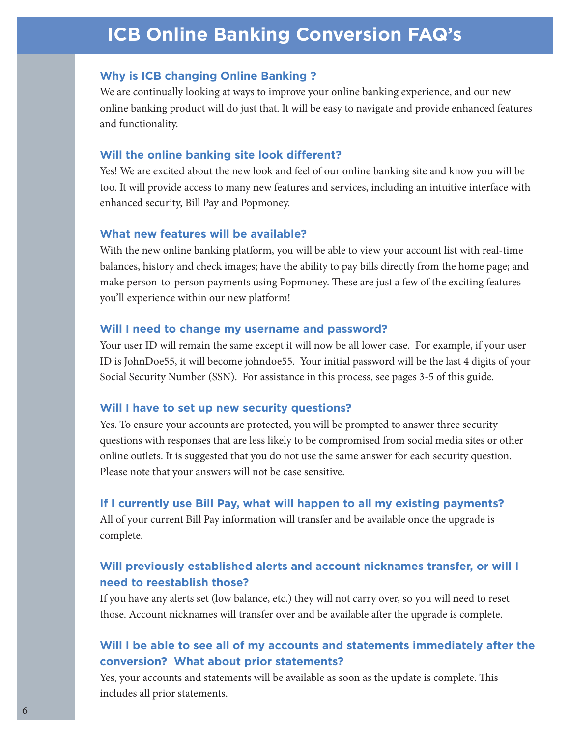## **ICB Online Banking Conversion FAQ's**

#### **Why is ICB changing Online Banking ?**

We are continually looking at ways to improve your online banking experience, and our new online banking product will do just that. It will be easy to navigate and provide enhanced features and functionality.

#### **Will the online banking site look different?**

Yes! We are excited about the new look and feel of our online banking site and know you will be too. It will provide access to many new features and services, including an intuitive interface with enhanced security, Bill Pay and Popmoney.

#### **What new features will be available?**

With the new online banking platform, you will be able to view your account list with real-time balances, history and check images; have the ability to pay bills directly from the home page; and make person-to-person payments using Popmoney. These are just a few of the exciting features you'll experience within our new platform!

#### **Will I need to change my username and password?**

Your user ID will remain the same except it will now be all lower case. For example, if your user ID is JohnDoe55, it will become johndoe55. Your initial password will be the last 4 digits of your Social Security Number (SSN). For assistance in this process, see pages 3-5 of this guide.

#### **Will I have to set up new security questions?**

Yes. To ensure your accounts are protected, you will be prompted to answer three security questions with responses that are less likely to be compromised from social media sites or other online outlets. It is suggested that you do not use the same answer for each security question. Please note that your answers will not be case sensitive.

#### **If I currently use Bill Pay, what will happen to all my existing payments?**

All of your current Bill Pay information will transfer and be available once the upgrade is complete.

### **Will previously established alerts and account nicknames transfer, or will I need to reestablish those?**

If you have any alerts set (low balance, etc.) they will not carry over, so you will need to reset those. Account nicknames will transfer over and be available after the upgrade is complete.

#### **Will I be able to see all of my accounts and statements immediately after the conversion? What about prior statements?**

Yes, your accounts and statements will be available as soon as the update is complete. This includes all prior statements.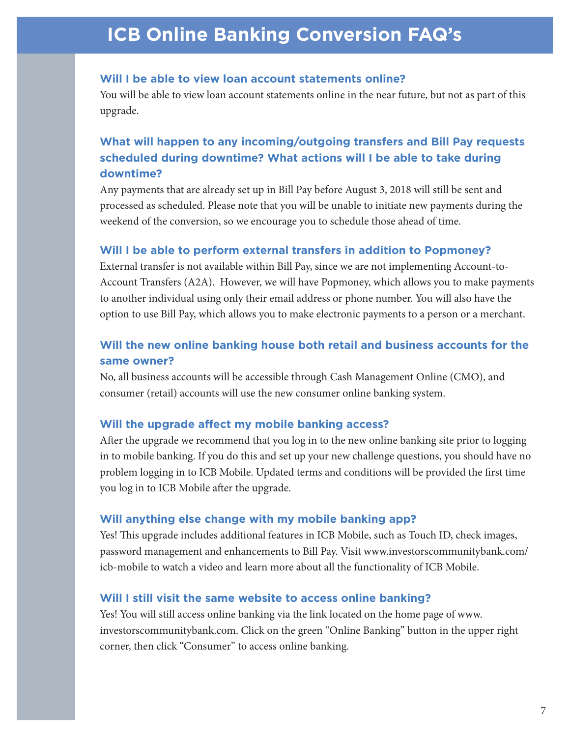## **ICB Online Banking Conversion FAQ's**

#### **Will I be able to view loan account statements online?**

You will be able to view loan account statements online in the near future, but not as part of this upgrade.

### **What will happen to any incoming/outgoing transfers and Bill Pay requests scheduled during downtime? What actions will I be able to take during downtime?**

Any payments that are already set up in Bill Pay before August 3, 2018 will still be sent and processed as scheduled. Please note that you will be unable to initiate new payments during the weekend of the conversion, so we encourage you to schedule those ahead of time.

#### **Will I be able to perform external transfers in addition to Popmoney?**

External transfer is not available within Bill Pay, since we are not implementing Account-to-Account Transfers (A2A). However, we will have Popmoney, which allows you to make payments to another individual using only their email address or phone number. You will also have the option to use Bill Pay, which allows you to make electronic payments to a person or a merchant.

### **Will the new online banking house both retail and business accounts for the same owner?**

No, all business accounts will be accessible through Cash Management Online (CMO), and consumer (retail) accounts will use the new consumer online banking system.

#### **Will the upgrade affect my mobile banking access?**

After the upgrade we recommend that you log in to the new online banking site prior to logging in to mobile banking. If you do this and set up your new challenge questions, you should have no problem logging in to ICB Mobile. Updated terms and conditions will be provided the first time you log in to ICB Mobile after the upgrade.

#### **Will anything else change with my mobile banking app?**

Yes! This upgrade includes additional features in ICB Mobile, such as Touch ID, check images, password management and enhancements to Bill Pay. Visit www.investorscommunitybank.com/ icb-mobile to watch a video and learn more about all the functionality of ICB Mobile.

#### **Will I still visit the same website to access online banking?**

Yes! You will still access online banking via the link located on the home page of www. investorscommunitybank.com. Click on the green "Online Banking" button in the upper right corner, then click "Consumer" to access online banking.